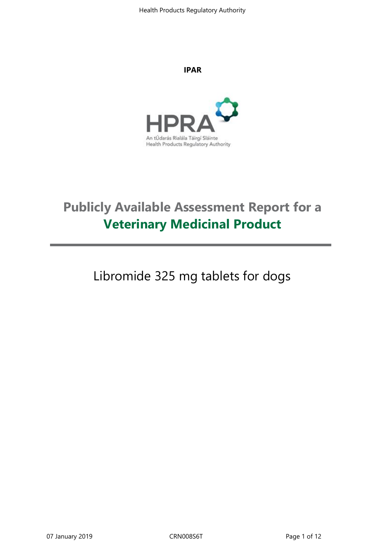#### **IPAR**



# **Publicly Available Assessment Report for a Veterinary Medicinal Product**

Libromide 325 mg tablets for dogs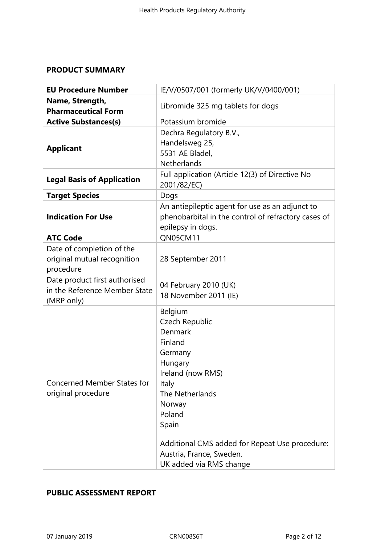# **PRODUCT SUMMARY**

| <b>EU Procedure Number</b>                                                   | IE/V/0507/001 (formerly UK/V/0400/001)                                                                                                                                                                                                                       |  |
|------------------------------------------------------------------------------|--------------------------------------------------------------------------------------------------------------------------------------------------------------------------------------------------------------------------------------------------------------|--|
| Name, Strength,<br><b>Pharmaceutical Form</b>                                | Libromide 325 mg tablets for dogs                                                                                                                                                                                                                            |  |
| <b>Active Substances(s)</b>                                                  | Potassium bromide                                                                                                                                                                                                                                            |  |
| <b>Applicant</b>                                                             | Dechra Regulatory B.V.,<br>Handelsweg 25,<br>5531 AE Bladel,<br><b>Netherlands</b>                                                                                                                                                                           |  |
| <b>Legal Basis of Application</b>                                            | Full application (Article 12(3) of Directive No<br>2001/82/EC)                                                                                                                                                                                               |  |
| <b>Target Species</b>                                                        | Dogs                                                                                                                                                                                                                                                         |  |
| <b>Indication For Use</b>                                                    | An antiepileptic agent for use as an adjunct to<br>phenobarbital in the control of refractory cases of<br>epilepsy in dogs.                                                                                                                                  |  |
| <b>ATC Code</b>                                                              | QN05CM11                                                                                                                                                                                                                                                     |  |
| Date of completion of the<br>original mutual recognition<br>procedure        | 28 September 2011                                                                                                                                                                                                                                            |  |
| Date product first authorised<br>in the Reference Member State<br>(MRP only) | 04 February 2010 (UK)<br>18 November 2011 (IE)                                                                                                                                                                                                               |  |
| <b>Concerned Member States for</b><br>original procedure                     | Belgium<br>Czech Republic<br>Denmark<br>Finland<br>Germany<br>Hungary<br>Ireland (now RMS)<br>Italy<br>The Netherlands<br>Norway<br>Poland<br>Spain<br>Additional CMS added for Repeat Use procedure:<br>Austria, France, Sweden.<br>UK added via RMS change |  |

# **PUBLIC ASSESSMENT REPORT**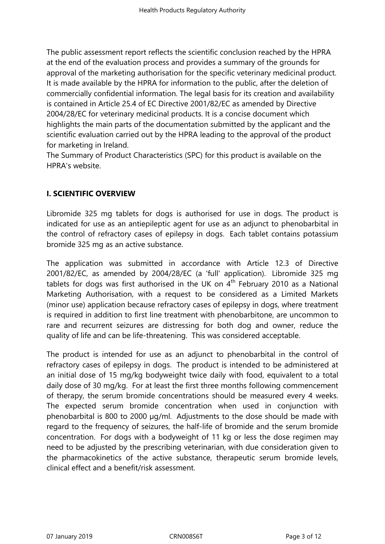The public assessment report reflects the scientific conclusion reached by the HPRA at the end of the evaluation process and provides a summary of the grounds for approval of the marketing authorisation for the specific veterinary medicinal product. It is made available by the HPRA for information to the public, after the deletion of commercially confidential information. The legal basis for its creation and availability is contained in Article 25.4 of EC Directive 2001/82/EC as amended by Directive 2004/28/EC for veterinary medicinal products. It is a concise document which highlights the main parts of the documentation submitted by the applicant and the scientific evaluation carried out by the HPRA leading to the approval of the product for marketing in Ireland.

The Summary of Product Characteristics (SPC) for this product is available on the HPRA's website.

# **I. SCIENTIFIC OVERVIEW**

Libromide 325 mg tablets for dogs is authorised for use in dogs. The product is indicated for use as an antiepileptic agent for use as an adjunct to phenobarbital in the control of refractory cases of epilepsy in dogs. Each tablet contains potassium bromide 325 mg as an active substance.

The application was submitted in accordance with Article 12.3 of Directive 2001/82/EC, as amended by 2004/28/EC (a 'full' application). Libromide 325 mg tablets for dogs was first authorised in the UK on  $4^{\text{th}}$  February 2010 as a National Marketing Authorisation, with a request to be considered as a Limited Markets (minor use) application because refractory cases of epilepsy in dogs, where treatment is required in addition to first line treatment with phenobarbitone, are uncommon to rare and recurrent seizures are distressing for both dog and owner, reduce the quality of life and can be life-threatening. This was considered acceptable.

The product is intended for use as an adjunct to phenobarbital in the control of refractory cases of epilepsy in dogs. The product is intended to be administered at an initial dose of 15 mg/kg bodyweight twice daily with food, equivalent to a total daily dose of 30 mg/kg. For at least the first three months following commencement of therapy, the serum bromide concentrations should be measured every 4 weeks. The expected serum bromide concentration when used in conjunction with phenobarbital is 800 to 2000 µg/ml. Adjustments to the dose should be made with regard to the frequency of seizures, the half-life of bromide and the serum bromide concentration. For dogs with a bodyweight of 11 kg or less the dose regimen may need to be adjusted by the prescribing veterinarian, with due consideration given to the pharmacokinetics of the active substance, therapeutic serum bromide levels, clinical effect and a benefit/risk assessment.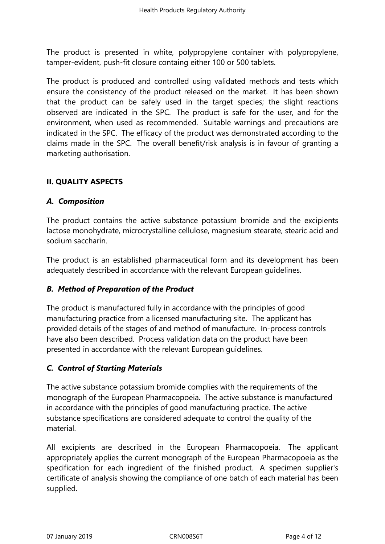The product is presented in white, polypropylene container with polypropylene, tamper-evident, push-fit closure containg either 100 or 500 tablets.

The product is produced and controlled using validated methods and tests which ensure the consistency of the product released on the market. It has been shown that the product can be safely used in the target species; the slight reactions observed are indicated in the SPC. The product is safe for the user, and for the environment, when used as recommended. Suitable warnings and precautions are indicated in the SPC. The efficacy of the product was demonstrated according to the claims made in the SPC. The overall benefit/risk analysis is in favour of granting a marketing authorisation.

# **II. QUALITY ASPECTS**

# *A. Composition*

The product contains the active substance potassium bromide and the excipients lactose monohydrate, microcrystalline cellulose, magnesium stearate, stearic acid and sodium saccharin.

The product is an established pharmaceutical form and its development has been adequately described in accordance with the relevant European guidelines.

# *B. Method of Preparation of the Product*

The product is manufactured fully in accordance with the principles of good manufacturing practice from a licensed manufacturing site*.* The applicant has provided details of the stages of and method of manufacture. In-process controls have also been described. Process validation data on the product have been presented in accordance with the relevant European guidelines.

# *C. Control of Starting Materials*

The active substance potassium bromide complies with the requirements of the monograph of the European Pharmacopoeia. The active substance is manufactured in accordance with the principles of good manufacturing practice. The active substance specifications are considered adequate to control the quality of the material.

All excipients are described in the European Pharmacopoeia. The applicant appropriately applies the current monograph of the European Pharmacopoeia as the specification for each ingredient of the finished product. A specimen supplier's certificate of analysis showing the compliance of one batch of each material has been supplied.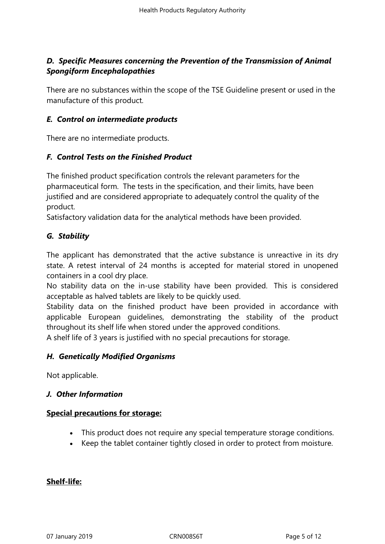# *D. Specific Measures concerning the Prevention of the Transmission of Animal Spongiform Encephalopathies*

There are no substances within the scope of the TSE Guideline present or used in the manufacture of this product*.*

#### *E. Control on intermediate products*

There are no intermediate products.

#### *F. Control Tests on the Finished Product*

The finished product specification controls the relevant parameters for the pharmaceutical form. The tests in the specification, and their limits, have been justified and are considered appropriate to adequately control the quality of the product.

Satisfactory validation data for the analytical methods have been provided.

#### *G. Stability*

The applicant has demonstrated that the active substance is unreactive in its dry state. A retest interval of 24 months is accepted for material stored in unopened containers in a cool dry place.

No stability data on the in-use stability have been provided. This is considered acceptable as halved tablets are likely to be quickly used.

Stability data on the finished product have been provided in accordance with applicable European guidelines, demonstrating the stability of the product throughout its shelf life when stored under the approved conditions.

A shelf life of 3 years is justified with no special precautions for storage.

#### *H. Genetically Modified Organisms*

Not applicable.

#### *J. Other Information*

#### **Special precautions for storage:**

- This product does not require any special temperature storage conditions.
- Keep the tablet container tightly closed in order to protect from moisture.

#### **Shelf-life:**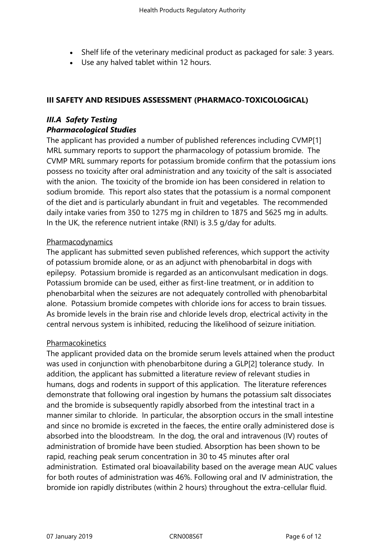- Shelf life of the veterinary medicinal product as packaged for sale: 3 years.
- Use any halved tablet within 12 hours.

# **III SAFETY AND RESIDUES ASSESSMENT (PHARMACO-TOXICOLOGICAL)**

# *III.A Safety Testing Pharmacological Studies*

The applicant has provided a number of published references including CVMP[1] MRL summary reports to support the pharmacology of potassium bromide. The CVMP MRL summary reports for potassium bromide confirm that the potassium ions possess no toxicity after oral administration and any toxicity of the salt is associated with the anion. The toxicity of the bromide ion has been considered in relation to sodium bromide. This report also states that the potassium is a normal component of the diet and is particularly abundant in fruit and vegetables. The recommended daily intake varies from 350 to 1275 mg in children to 1875 and 5625 mg in adults. In the UK, the reference nutrient intake (RNI) is 3.5 g/day for adults.

#### Pharmacodynamics

The applicant has submitted seven published references, which support the activity of potassium bromide alone, or as an adjunct with phenobarbital in dogs with epilepsy. Potassium bromide is regarded as an anticonvulsant medication in dogs. Potassium bromide can be used, either as first-line treatment, or in addition to phenobarbital when the seizures are not adequately controlled with phenobarbital alone. Potassium bromide competes with chloride ions for access to brain tissues. As bromide levels in the brain rise and chloride levels drop, electrical activity in the central nervous system is inhibited, reducing the likelihood of seizure initiation.

# Pharmacokinetics

The applicant provided data on the bromide serum levels attained when the product was used in conjunction with phenobarbitone during a GLP[2] tolerance study. In addition, the applicant has submitted a literature review of relevant studies in humans, dogs and rodents in support of this application. The literature references demonstrate that following oral ingestion by humans the potassium salt dissociates and the bromide is subsequently rapidly absorbed from the intestinal tract in a manner similar to chloride. In particular, the absorption occurs in the small intestine and since no bromide is excreted in the faeces, the entire orally administered dose is absorbed into the bloodstream. In the dog, the oral and intravenous (IV) routes of administration of bromide have been studied. Absorption has been shown to be rapid, reaching peak serum concentration in 30 to 45 minutes after oral administration. Estimated oral bioavailability based on the average mean AUC values for both routes of administration was 46%. Following oral and IV administration, the bromide ion rapidly distributes (within 2 hours) throughout the extra-cellular fluid.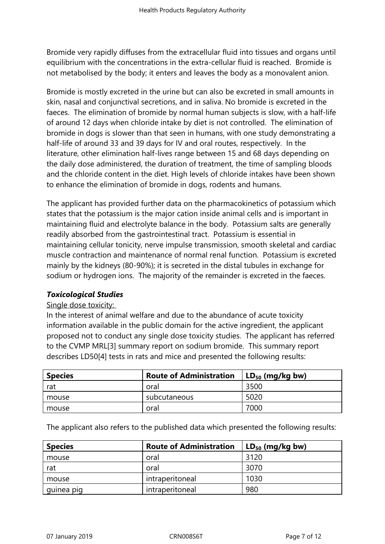Bromide very rapidly diffuses from the extracellular fluid into tissues and organs until equilibrium with the concentrations in the extra-cellular fluid is reached. Bromide is not metabolised by the body; it enters and leaves the body as a monovalent anion.

Bromide is mostly excreted in the urine but can also be excreted in small amounts in skin, nasal and conjunctival secretions, and in saliva. No bromide is excreted in the faeces. The elimination of bromide by normal human subjects is slow, with a half-life of around 12 days when chloride intake by diet is not controlled. The elimination of bromide in dogs is slower than that seen in humans, with one study demonstrating a half-life of around 33 and 39 days for IV and oral routes, respectively. In the literature, other elimination half-lives range between 15 and 68 days depending on the daily dose administered, the duration of treatment, the time of sampling bloods and the chloride content in the diet. High levels of chloride intakes have been shown to enhance the elimination of bromide in dogs, rodents and humans.

The applicant has provided further data on the pharmacokinetics of potassium which states that the potassium is the major cation inside animal cells and is important in maintaining fluid and electrolyte balance in the body. Potassium salts are generally readily absorbed from the gastrointestinal tract. Potassium is essential in maintaining cellular tonicity, nerve impulse transmission, smooth skeletal and cardiac muscle contraction and maintenance of normal renal function. Potassium is excreted mainly by the kidneys (80-90%); it is secreted in the distal tubules in exchange for sodium or hydrogen ions. The majority of the remainder is excreted in the faeces.

# *Toxicological Studies*

#### Single dose toxicity:

In the interest of animal welfare and due to the abundance of acute toxicity information available in the public domain for the active ingredient, the applicant proposed not to conduct any single dose toxicity studies. The applicant has referred to the CVMP MRL[3] summary report on sodium bromide. This summary report describes LD50[4] tests in rats and mice and presented the following results:

| <b>Species</b> | <b>Route of Administration</b> | $LD_{50}$ (mg/kg bw) |
|----------------|--------------------------------|----------------------|
| rat            | oral                           | 3500                 |
| mouse          | subcutaneous                   | 5020                 |
| mouse          | oral                           | 7000                 |

The applicant also refers to the published data which presented the following results:

| <b>Species</b> | <b>Route of Administration</b> | $LD_{50}$ (mg/kg bw) |
|----------------|--------------------------------|----------------------|
| mouse          | oral                           | 3120                 |
| rat            | oral                           | 3070                 |
| mouse          | intraperitoneal                | 1030                 |
| quinea pig     | intraperitoneal                | 980                  |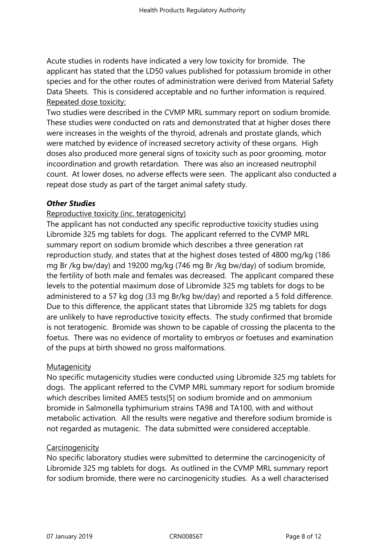Acute studies in rodents have indicated a very low toxicity for bromide. The applicant has stated that the LD50 values published for potassium bromide in other species and for the other routes of administration were derived from Material Safety Data Sheets. This is considered acceptable and no further information is required. Repeated dose toxicity:

Two studies were described in the CVMP MRL summary report on sodium bromide. These studies were conducted on rats and demonstrated that at higher doses there were increases in the weights of the thyroid, adrenals and prostate glands, which were matched by evidence of increased secretory activity of these organs. High doses also produced more general signs of toxicity such as poor grooming, motor incoordination and growth retardation. There was also an increased neutrophil count. At lower doses, no adverse effects were seen. The applicant also conducted a repeat dose study as part of the target animal safety study.

#### *Other Studies*

#### Reproductive toxicity (inc. teratogenicity)

The applicant has not conducted any specific reproductive toxicity studies using Libromide 325 mg tablets for dogs. The applicant referred to the CVMP MRL summary report on sodium bromide which describes a three generation rat reproduction study, and states that at the highest doses tested of 4800 mg/kg (186 mg Br /kg bw/day) and 19200 mg/kg (746 mg Br /kg bw/day) of sodium bromide, the fertility of both male and females was decreased. The applicant compared these levels to the potential maximum dose of Libromide 325 mg tablets for dogs to be administered to a 57 kg dog (33 mg Br/kg bw/day) and reported a 5 fold difference. Due to this difference, the applicant states that Libromide 325 mg tablets for dogs are unlikely to have reproductive toxicity effects. The study confirmed that bromide is not teratogenic. Bromide was shown to be capable of crossing the placenta to the foetus. There was no evidence of mortality to embryos or foetuses and examination of the pups at birth showed no gross malformations.

#### **Mutagenicity**

No specific mutagenicity studies were conducted using Libromide 325 mg tablets for dogs. The applicant referred to the CVMP MRL summary report for sodium bromide which describes limited AMES tests[5] on sodium bromide and on ammonium bromide in Salmonella typhimurium strains TA98 and TA100, with and without metabolic activation. All the results were negative and therefore sodium bromide is not regarded as mutagenic. The data submitted were considered acceptable.

#### **Carcinogenicity**

No specific laboratory studies were submitted to determine the carcinogenicity of Libromide 325 mg tablets for dogs. As outlined in the CVMP MRL summary report for sodium bromide, there were no carcinogenicity studies. As a well characterised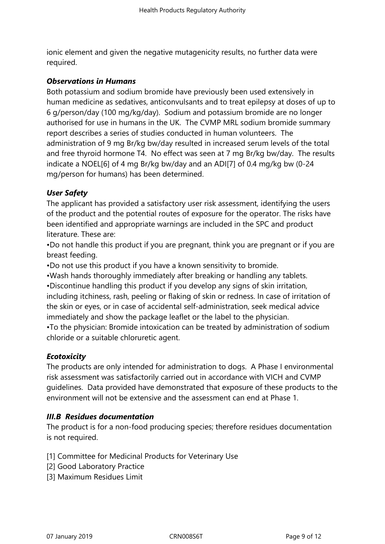ionic element and given the negative mutagenicity results, no further data were required.

#### *Observations in Humans*

Both potassium and sodium bromide have previously been used extensively in human medicine as sedatives, anticonvulsants and to treat epilepsy at doses of up to 6 g/person/day (100 mg/kg/day). Sodium and potassium bromide are no longer authorised for use in humans in the UK. The CVMP MRL sodium bromide summary report describes a series of studies conducted in human volunteers. The administration of 9 mg Br/kg bw/day resulted in increased serum levels of the total and free thyroid hormone T4. No effect was seen at 7 mg Br/kg bw/day. The results indicate a NOEL[6] of 4 mg Br/kg bw/day and an ADI[7] of 0.4 mg/kg bw (0-24 mg/person for humans) has been determined.

# *User Safety*

The applicant has provided a satisfactory user risk assessment, identifying the users of the product and the potential routes of exposure for the operator. The risks have been identified and appropriate warnings are included in the SPC and product literature. These are:

•Do not handle this product if you are pregnant, think you are pregnant or if you are breast feeding.

•Do not use this product if you have a known sensitivity to bromide.

•Wash hands thoroughly immediately after breaking or handling any tablets.

•Discontinue handling this product if you develop any signs of skin irritation, including itchiness, rash, peeling or flaking of skin or redness. In case of irritation of the skin or eyes, or in case of accidental self‑administration, seek medical advice immediately and show the package leaflet or the label to the physician.

•To the physician: Bromide intoxication can be treated by administration of sodium chloride or a suitable chloruretic agent.

# *Ecotoxicity*

The products are only intended for administration to dogs. A Phase I environmental risk assessment was satisfactorily carried out in accordance with VICH and CVMP guidelines. Data provided have demonstrated that exposure of these products to the environment will not be extensive and the assessment can end at Phase 1.

# *III.B Residues documentation*

The product is for a non-food producing species; therefore residues documentation is not required.

[1] Committee for Medicinal Products for Veterinary Use

- [2] Good Laboratory Practice
- [3] Maximum Residues Limit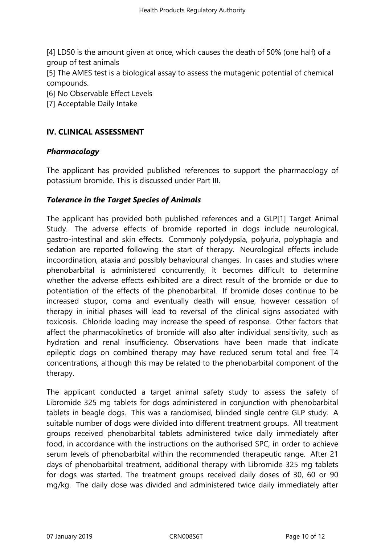[4] LD50 is the amount given at once, which causes the death of 50% (one half) of a group of test animals

[5] The AMES test is a biological assay to assess the mutagenic potential of chemical compounds.

[6] No Observable Effect Levels

[7] Acceptable Daily Intake

# **IV. CLINICAL ASSESSMENT**

#### *Pharmacology*

The applicant has provided published references to support the pharmacology of potassium bromide. This is discussed under Part III.

# *Tolerance in the Target Species of Animals*

The applicant has provided both published references and a GLP[1] Target Animal Study. The adverse effects of bromide reported in dogs include neurological, gastro-intestinal and skin effects. Commonly polydypsia, polyuria, polyphagia and sedation are reported following the start of therapy. Neurological effects include incoordination, ataxia and possibly behavioural changes. In cases and studies where phenobarbital is administered concurrently, it becomes difficult to determine whether the adverse effects exhibited are a direct result of the bromide or due to potentiation of the effects of the phenobarbital. If bromide doses continue to be increased stupor, coma and eventually death will ensue, however cessation of therapy in initial phases will lead to reversal of the clinical signs associated with toxicosis. Chloride loading may increase the speed of response. Other factors that affect the pharmacokinetics of bromide will also alter individual sensitivity, such as hydration and renal insufficiency. Observations have been made that indicate epileptic dogs on combined therapy may have reduced serum total and free T4 concentrations, although this may be related to the phenobarbital component of the therapy.

The applicant conducted a target animal safety study to assess the safety of Libromide 325 mg tablets for dogs administered in conjunction with phenobarbital tablets in beagle dogs. This was a randomised, blinded single centre GLP study. A suitable number of dogs were divided into different treatment groups. All treatment groups received phenobarbital tablets administered twice daily immediately after food, in accordance with the instructions on the authorised SPC, in order to achieve serum levels of phenobarbital within the recommended therapeutic range. After 21 days of phenobarbital treatment, additional therapy with Libromide 325 mg tablets for dogs was started. The treatment groups received daily doses of 30, 60 or 90 mg/kg. The daily dose was divided and administered twice daily immediately after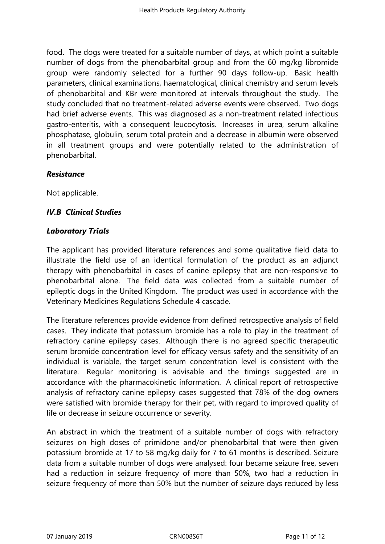food. The dogs were treated for a suitable number of days, at which point a suitable number of dogs from the phenobarbital group and from the 60 mg/kg libromide group were randomly selected for a further 90 days follow-up. Basic health parameters, clinical examinations, haematological, clinical chemistry and serum levels of phenobarbital and KBr were monitored at intervals throughout the study. The study concluded that no treatment-related adverse events were observed. Two dogs had brief adverse events. This was diagnosed as a non-treatment related infectious gastro-enteritis, with a consequent leucocytosis. Increases in urea, serum alkaline phosphatase, globulin, serum total protein and a decrease in albumin were observed in all treatment groups and were potentially related to the administration of phenobarbital.

#### *Resistance*

Not applicable.

# *IV.B Clinical Studies*

#### *Laboratory Trials*

The applicant has provided literature references and some qualitative field data to illustrate the field use of an identical formulation of the product as an adjunct therapy with phenobarbital in cases of canine epilepsy that are non-responsive to phenobarbital alone. The field data was collected from a suitable number of epileptic dogs in the United Kingdom. The product was used in accordance with the Veterinary Medicines Regulations Schedule 4 cascade.

The literature references provide evidence from defined retrospective analysis of field cases. They indicate that potassium bromide has a role to play in the treatment of refractory canine epilepsy cases. Although there is no agreed specific therapeutic serum bromide concentration level for efficacy versus safety and the sensitivity of an individual is variable, the target serum concentration level is consistent with the literature. Regular monitoring is advisable and the timings suggested are in accordance with the pharmacokinetic information. A clinical report of retrospective analysis of refractory canine epilepsy cases suggested that 78% of the dog owners were satisfied with bromide therapy for their pet, with regard to improved quality of life or decrease in seizure occurrence or severity.

An abstract in which the treatment of a suitable number of dogs with refractory seizures on high doses of primidone and/or phenobarbital that were then given potassium bromide at 17 to 58 mg/kg daily for 7 to 61 months is described. Seizure data from a suitable number of dogs were analysed: four became seizure free, seven had a reduction in seizure frequency of more than 50%, two had a reduction in seizure frequency of more than 50% but the number of seizure days reduced by less